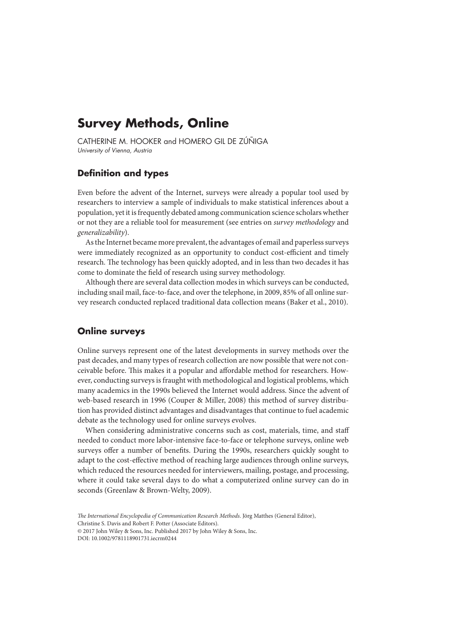# **Survey Methods, Online**

CATHERINE M. HOOKER and HOMERO GIL DE ZÚÑIGA University of Vienna, Austria

# **Definition and types**

Even before the advent of the Internet, surveys were already a popular tool used by researchers to interview a sample of individuals to make statistical inferences about a population, yet it is frequently debated among communication science scholars whether or not they are a reliable tool for measurement (see entries on *survey methodology* and *generalizability*).

As the Internet became more prevalent, the advantages of email and paperless surveys were immediately recognized as an opportunity to conduct cost-efficient and timely research. The technology has been quickly adopted, and in less than two decades it has come to dominate the field of research using survey methodology.

Although there are several data collection modes in which surveys can be conducted, including snail mail, face-to-face, and over the telephone, in 2009, 85% of all online survey research conducted replaced traditional data collection means (Baker et al., 2010).

# **Online surveys**

Online surveys represent one of the latest developments in survey methods over the past decades, and many types of research collection are now possible that were not conceivable before. This makes it a popular and affordable method for researchers. However, conducting surveys is fraught with methodological and logistical problems, which many academics in the 1990s believed the Internet would address. Since the advent of web-based research in 1996 (Couper & Miller, 2008) this method of survey distribution has provided distinct advantages and disadvantages that continue to fuel academic debate as the technology used for online surveys evolves.

When considering administrative concerns such as cost, materials, time, and staff needed to conduct more labor-intensive face-to-face or telephone surveys, online web surveys offer a number of benefits. During the 1990s, researchers quickly sought to adapt to the cost-effective method of reaching large audiences through online surveys, which reduced the resources needed for interviewers, mailing, postage, and processing, where it could take several days to do what a computerized online survey can do in seconds (Greenlaw & Brown-Welty, 2009).

*The International Encyclopedia of Communication Research Methods*. Jörg Matthes (General Editor), Christine S. Davis and Robert F. Potter (Associate Editors). © 2017 John Wiley & Sons, Inc. Published 2017 by John Wiley & Sons, Inc. DOI: 10.1002/9781118901731.iecrm0244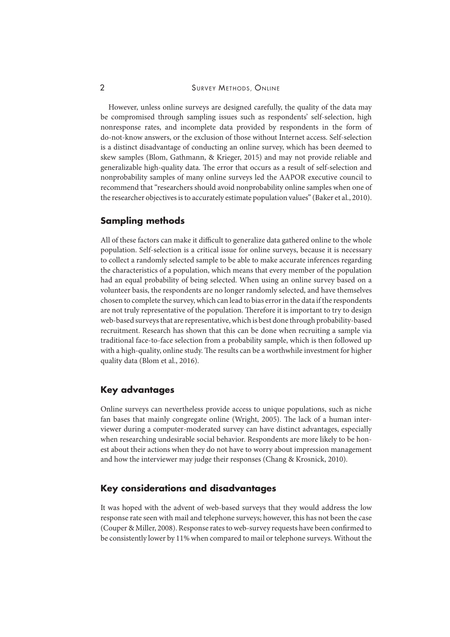#### 2 **SURVEY METHODS, ONLINE**

However, unless online surveys are designed carefully, the quality of the data may be compromised through sampling issues such as respondents' self-selection, high nonresponse rates, and incomplete data provided by respondents in the form of do-not-know answers, or the exclusion of those without Internet access. Self-selection is a distinct disadvantage of conducting an online survey, which has been deemed to skew samples (Blom, Gathmann, & Krieger, 2015) and may not provide reliable and generalizable high-quality data. The error that occurs as a result of self-selection and nonprobability samples of many online surveys led the AAPOR executive council to recommend that "researchers should avoid nonprobability online samples when one of the researcher objectives is to accurately estimate population values" (Baker et al., 2010).

## **Sampling methods**

All of these factors can make it difficult to generalize data gathered online to the whole population. Self-selection is a critical issue for online surveys, because it is necessary to collect a randomly selected sample to be able to make accurate inferences regarding the characteristics of a population, which means that every member of the population had an equal probability of being selected. When using an online survey based on a volunteer basis, the respondents are no longer randomly selected, and have themselves chosen to complete the survey, which can lead to bias error in the data if the respondents are not truly representative of the population. Therefore it is important to try to design web-based surveys that are representative, which is best done through probability-based recruitment. Research has shown that this can be done when recruiting a sample via traditional face-to-face selection from a probability sample, which is then followed up with a high-quality, online study. The results can be a worthwhile investment for higher quality data (Blom et al., 2016).

## **Key advantages**

Online surveys can nevertheless provide access to unique populations, such as niche fan bases that mainly congregate online (Wright, 2005). The lack of a human interviewer during a computer-moderated survey can have distinct advantages, especially when researching undesirable social behavior. Respondents are more likely to be honest about their actions when they do not have to worry about impression management and how the interviewer may judge their responses (Chang & Krosnick, 2010).

## **Key considerations and disadvantages**

It was hoped with the advent of web-based surveys that they would address the low response rate seen with mail and telephone surveys; however, this has not been the case (Couper & Miller, 2008). Response rates to web-survey requests have been confirmed to be consistently lower by 11% when compared to mail or telephone surveys. Without the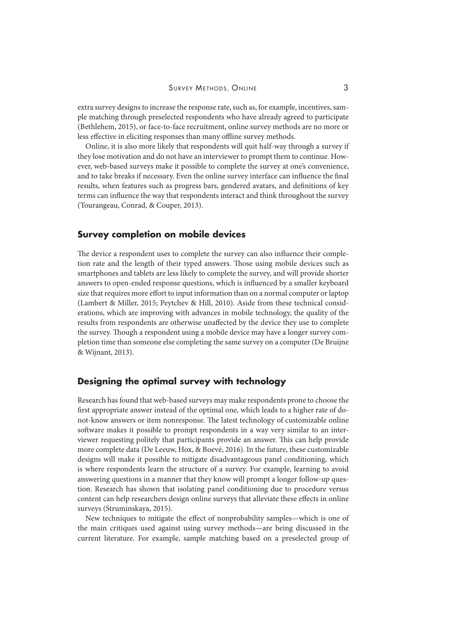extra survey designs to increase the response rate, such as, for example, incentives, sample matching through preselected respondents who have already agreed to participate (Bethlehem, 2015), or face-to-face recruitment, online survey methods are no more or less effective in eliciting responses than many offline survey methods.

Online, it is also more likely that respondents will quit half-way through a survey if they lose motivation and do not have an interviewer to prompt them to continue. However, web-based surveys make it possible to complete the survey at one's convenience, and to take breaks if necessary. Even the online survey interface can influence the final results, when features such as progress bars, gendered avatars, and definitions of key terms can influence the way that respondents interact and think throughout the survey (Tourangeau, Conrad, & Couper, 2013).

## **Survey completion on mobile devices**

The device a respondent uses to complete the survey can also influence their completion rate and the length of their typed answers. Those using mobile devices such as smartphones and tablets are less likely to complete the survey, and will provide shorter answers to open-ended response questions, which is influenced by a smaller keyboard size that requires more effort to input information than on a normal computer or laptop (Lambert & Miller, 2015; Peytchev & Hill, 2010). Aside from these technical considerations, which are improving with advances in mobile technology, the quality of the results from respondents are otherwise unaffected by the device they use to complete the survey. Though a respondent using a mobile device may have a longer survey completion time than someone else completing the same survey on a computer (De Bruijne & Wijnant, 2013).

# **Designing the optimal survey with technology**

Research has found that web-based surveys may make respondents prone to choose the first appropriate answer instead of the optimal one, which leads to a higher rate of donot-know answers or item nonresponse. The latest technology of customizable online software makes it possible to prompt respondents in a way very similar to an interviewer requesting politely that participants provide an answer. This can help provide more complete data (De Leeuw, Hox, & Boevé, 2016). In the future, these customizable designs will make it possible to mitigate disadvantageous panel conditioning, which is where respondents learn the structure of a survey. For example, learning to avoid answering questions in a manner that they know will prompt a longer follow-up question. Research has shown that isolating panel conditioning due to procedure versus content can help researchers design online surveys that alleviate these effects in online surveys (Struminskaya, 2015).

New techniques to mitigate the effect of nonprobability samples—which is one of the main critiques used against using survey methods—are being discussed in the current literature. For example, sample matching based on a preselected group of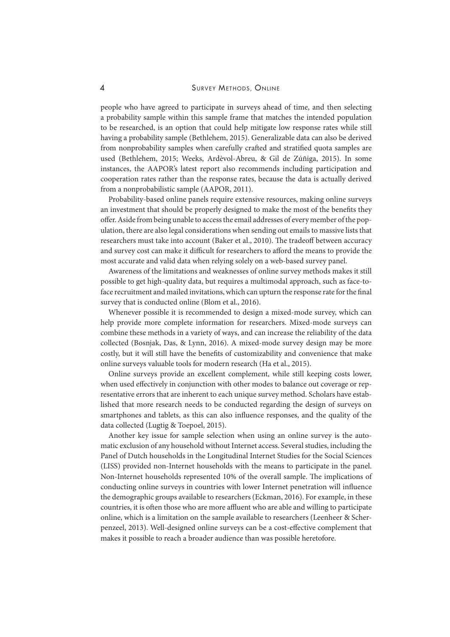#### **4** SURVEY METHODS, ONLINE

people who have agreed to participate in surveys ahead of time, and then selecting a probability sample within this sample frame that matches the intended population to be researched, is an option that could help mitigate low response rates while still having a probability sample (Bethlehem, 2015). Generalizable data can also be derived from nonprobability samples when carefully crafted and stratified quota samples are used (Bethlehem, 2015; Weeks, Ardèvol-Abreu, & Gil de Zúñiga, 2015). In some instances, the AAPOR's latest report also recommends including participation and cooperation rates rather than the response rates, because the data is actually derived from a nonprobabilistic sample (AAPOR, 2011).

Probability-based online panels require extensive resources, making online surveys an investment that should be properly designed to make the most of the benefits they offer. Aside from being unable to access the email addresses of every member of the population, there are also legal considerations when sending out emails to massive lists that researchers must take into account (Baker et al., 2010). The tradeoff between accuracy and survey cost can make it difficult for researchers to afford the means to provide the most accurate and valid data when relying solely on a web-based survey panel.

Awareness of the limitations and weaknesses of online survey methods makes it still possible to get high-quality data, but requires a multimodal approach, such as face-toface recruitment and mailed invitations, which can upturn the response rate for the final survey that is conducted online (Blom et al., 2016).

Whenever possible it is recommended to design a mixed-mode survey, which can help provide more complete information for researchers. Mixed-mode surveys can combine these methods in a variety of ways, and can increase the reliability of the data collected (Bosnjak, Das, & Lynn, 2016). A mixed-mode survey design may be more costly, but it will still have the benefits of customizability and convenience that make online surveys valuable tools for modern research (Ha et al., 2015).

Online surveys provide an excellent complement, while still keeping costs lower, when used effectively in conjunction with other modes to balance out coverage or representative errors that are inherent to each unique survey method. Scholars have established that more research needs to be conducted regarding the design of surveys on smartphones and tablets, as this can also influence responses, and the quality of the data collected (Lugtig & Toepoel, 2015).

Another key issue for sample selection when using an online survey is the automatic exclusion of any household without Internet access. Several studies, including the Panel of Dutch households in the Longitudinal Internet Studies for the Social Sciences (LISS) provided non-Internet households with the means to participate in the panel. Non-Internet households represented 10% of the overall sample. The implications of conducting online surveys in countries with lower Internet penetration will influence the demographic groups available to researchers (Eckman, 2016). For example, in these countries, it is often those who are more affluent who are able and willing to participate online, which is a limitation on the sample available to researchers (Leenheer & Scherpenzeel, 2013). Well-designed online surveys can be a cost-effective complement that makes it possible to reach a broader audience than was possible heretofore.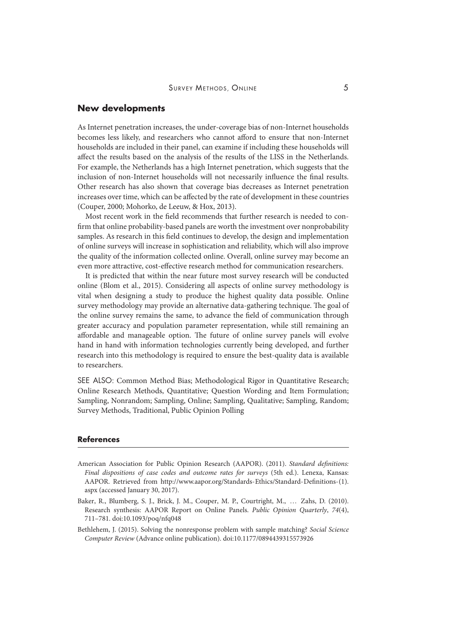## **New developments**

As Internet penetration increases, the under-coverage bias of non-Internet households becomes less likely, and researchers who cannot afford to ensure that non-Internet households are included in their panel, can examine if including these households will affect the results based on the analysis of the results of the LISS in the Netherlands. For example, the Netherlands has a high Internet penetration, which suggests that the inclusion of non-Internet households will not necessarily influence the final results. Other research has also shown that coverage bias decreases as Internet penetration increases over time, which can be affected by the rate of development in these countries (Couper, 2000; Mohorko, de Leeuw, & Hox, 2013).

Most recent work in the field recommends that further research is needed to confirm that online probability-based panels are worth the investment over nonprobability samples. As research in this field continues to develop, the design and implementation of online surveys will increase in sophistication and reliability, which will also improve the quality of the information collected online. Overall, online survey may become an even more attractive, cost-effective research method for communication researchers.

It is predicted that within the near future most survey research will be conducted online (Blom et al., 2015). Considering all aspects of online survey methodology is vital when designing a study to produce the highest quality data possible. Online survey methodology may provide an alternative data-gathering technique. The goal of the online survey remains the same, to advance the field of communication through greater accuracy and population parameter representation, while still remaining an affordable and manageable option. The future of online survey panels will evolve hand in hand with information technologies currently being developed, and further research into this methodology is required to ensure the best-quality data is available to researchers.

SEE ALSO: Common Method Bias; Methodological Rigor in Quantitative Research; Online Research Methods, Quantitative; Question Wording and Item Formulation; Sampling, Nonrandom; Sampling, Online; Sampling, Qualitative; Sampling, Random; Survey Methods, Traditional, Public Opinion Polling

#### **References**

- American Association for Public Opinion Research (AAPOR). (2011). *Standard definitions: Final dispositions of case codes and outcome rates for surveys* (5th ed.). Lenexa, Kansas: AAPOR. Retrieved from http://www.aapor.org/Standards-Ethics/Standard-Definitions-(1). aspx (accessed January 30, 2017).
- Baker, R., Blumberg, S. J., Brick, J. M., Couper, M. P., Courtright, M., … Zahs, D. (2010). Research synthesis: AAPOR Report on Online Panels. *Public Opinion Quarterly*, *74*(4), 711–781. doi:10.1093/poq/nfq048
- Bethlehem, J. (2015). Solving the nonresponse problem with sample matching? *Social Science Computer Review* (Advance online publication). doi:10.1177/0894439315573926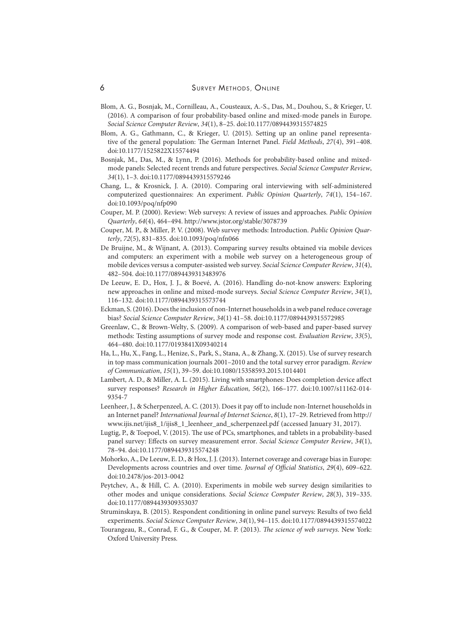- Blom, A. G., Bosnjak, M., Cornilleau, A., Cousteaux, A.-S., Das, M., Douhou, S., & Krieger, U. (2016). A comparison of four probability-based online and mixed-mode panels in Europe. *Social Science Computer Review*, *34*(1), 8–25. doi:10.1177/0894439315574825
- Blom, A. G., Gathmann, C., & Krieger, U. (2015). Setting up an online panel representative of the general population: The German Internet Panel. *Field Methods*, *27*(4), 391–408. doi:10.1177/1525822X15574494
- Bosnjak, M., Das, M., & Lynn, P. (2016). Methods for probability-based online and mixedmode panels: Selected recent trends and future perspectives. *Social Science Computer Review*, *34*(1), 1–3. doi:10.1177/0894439315579246
- Chang, L., & Krosnick, J. A. (2010). Comparing oral interviewing with self-administered computerized questionnaires: An experiment. *Public Opinion Quarterly*, *74*(1), 154–167. doi:10.1093/poq/nfp090
- Couper, M. P. (2000). Review: Web surveys: A review of issues and approaches. *Public Opinion Quarterly*, *64*(4), 464–494. http://www.jstor.org/stable/3078739
- Couper, M. P., & Miller, P. V. (2008). Web survey methods: Introduction. *Public Opinion Quarterly*, *72*(5), 831–835. doi:10.1093/poq/nfn066
- De Bruijne, M., & Wijnant, A. (2013). Comparing survey results obtained via mobile devices and computers: an experiment with a mobile web survey on a heterogeneous group of mobile devices versus a computer-assisted web survey. *Social Science Computer Review*, *31*(4), 482–504. doi:10.1177/0894439313483976
- De Leeuw, E. D., Hox, J. J., & Boevé, A. (2016). Handling do-not-know answers: Exploring new approaches in online and mixed-mode surveys. *Social Science Computer Review*, *34*(1), 116–132. doi:10.1177/0894439315573744
- Eckman, S. (2016). Does the inclusion of non-Internet households in a web panel reduce coverage bias? *Social Science Computer Review*, *34*(1) 41–58. doi:10.1177/0894439315572985
- Greenlaw, C., & Brown-Welty, S. (2009). A comparison of web-based and paper-based survey methods: Testing assumptions of survey mode and response cost. *Evaluation Review*, *33*(5), 464–480. doi:10.1177/0193841X09340214
- Ha, L., Hu, X., Fang, L., Henize, S., Park, S., Stana, A., & Zhang, X. (2015). Use of survey research in top mass communication journals 2001–2010 and the total survey error paradigm. *Review of Communication*, *15*(1), 39–59. doi:10.1080/15358593.2015.1014401
- Lambert, A. D., & Miller, A. L. (2015). Living with smartphones: Does completion device affect survey responses? *Research in Higher Education*, *56*(2), 166–177. doi:10.1007/s11162-014- 9354-7
- Leenheer, J., & Scherpenzeel, A. C. (2013). Does it pay off to include non-Internet households in an Internet panel? *International Journal of Internet Science*, *8*(1), 17–29. Retrieved from http:// www.ijis.net/ijis8\_1/ijis8\_1\_leenheer\_and\_scherpenzeel.pdf (accessed January 31, 2017).
- Lugtig, P., & Toepoel, V. (2015). The use of PCs, smartphones, and tablets in a probability-based panel survey: Effects on survey measurement error. *Social Science Computer Review*, *34*(1), 78–94. doi:10.1177/0894439315574248
- Mohorko, A., De Leeuw, E. D., & Hox, J. J. (2013). Internet coverage and coverage bias in Europe: Developments across countries and over time. *Journal of Official Statistics*, *29*(4), 609–622. doi:10.2478/jos-2013-0042
- Peytchev, A., & Hill, C. A. (2010). Experiments in mobile web survey design similarities to other modes and unique considerations. *Social Science Computer Review*, *28*(3), 319–335. doi:10.1177/0894439309353037
- Struminskaya, B. (2015). Respondent conditioning in online panel surveys: Results of two field experiments. *Social Science Computer Review*, *34*(1), 94–115. doi:10.1177/0894439315574022
- Tourangeau, R., Conrad, F. G., & Couper, M. P. (2013). *The science of web surveys*. New York: Oxford University Press.